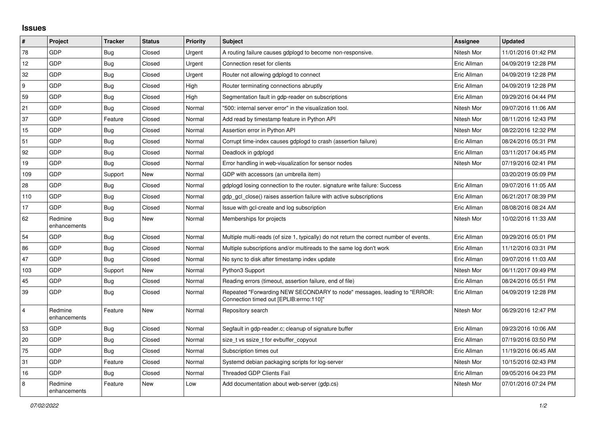## **Issues**

| $\#$           | Project                 | <b>Tracker</b> | <b>Status</b> | <b>Priority</b> | <b>Subject</b>                                                                                                      | Assignee    | <b>Updated</b>      |
|----------------|-------------------------|----------------|---------------|-----------------|---------------------------------------------------------------------------------------------------------------------|-------------|---------------------|
| 78             | GDP                     | <b>Bug</b>     | Closed        | Urgent          | A routing failure causes gdplogd to become non-responsive.                                                          | Nitesh Mor  | 11/01/2016 01:42 PM |
| 12             | GDP                     | <b>Bug</b>     | Closed        | Urgent          | Connection reset for clients                                                                                        | Eric Allman | 04/09/2019 12:28 PM |
| 32             | GDP                     | Bug            | Closed        | Urgent          | Router not allowing gdplogd to connect                                                                              | Eric Allman | 04/09/2019 12:28 PM |
| 9              | GDP                     | <b>Bug</b>     | Closed        | High            | Router terminating connections abruptly                                                                             | Eric Allman | 04/09/2019 12:28 PM |
| 59             | GDP                     | Bug            | Closed        | High            | Segmentation fault in gdp-reader on subscriptions                                                                   | Eric Allman | 09/29/2016 04:44 PM |
| 21             | GDP                     | Bug            | Closed        | Normal          | "500: internal server error" in the visualization tool.                                                             | Nitesh Mor  | 09/07/2016 11:06 AM |
| 37             | GDP                     | Feature        | Closed        | Normal          | Add read by timestamp feature in Python API                                                                         | Nitesh Mor  | 08/11/2016 12:43 PM |
| 15             | GDP                     | Bug            | Closed        | Normal          | Assertion error in Python API                                                                                       | Nitesh Mor  | 08/22/2016 12:32 PM |
| 51             | GDP                     | <b>Bug</b>     | Closed        | Normal          | Corrupt time-index causes gdplogd to crash (assertion failure)                                                      | Eric Allman | 08/24/2016 05:31 PM |
| 92             | <b>GDP</b>              | <b>Bug</b>     | Closed        | Normal          | Deadlock in gdplogd                                                                                                 | Eric Allman | 03/11/2017 04:45 PM |
| 19             | GDP                     | <b>Bug</b>     | Closed        | Normal          | Error handling in web-visualization for sensor nodes                                                                | Nitesh Mor  | 07/19/2016 02:41 PM |
| 109            | GDP                     | Support        | New           | Normal          | GDP with accessors (an umbrella item)                                                                               |             | 03/20/2019 05:09 PM |
| 28             | <b>GDP</b>              | Bug            | Closed        | Normal          | gdplogd losing connection to the router, signature write failure: Success                                           | Eric Allman | 09/07/2016 11:05 AM |
| 110            | GDP                     | Bug            | Closed        | Normal          | gdp gcl close() raises assertion failure with active subscriptions                                                  | Eric Allman | 06/21/2017 08:39 PM |
| 17             | GDP                     | <b>Bug</b>     | Closed        | Normal          | Issue with gcl-create and log subscription                                                                          | Eric Allman | 08/08/2016 08:24 AM |
| 62             | Redmine<br>enhancements | Bug            | New           | Normal          | Memberships for projects                                                                                            | Nitesh Mor  | 10/02/2016 11:33 AM |
| 54             | GDP                     | Bug            | Closed        | Normal          | Multiple multi-reads (of size 1, typically) do not return the correct number of events.                             | Eric Allman | 09/29/2016 05:01 PM |
| 86             | <b>GDP</b>              | <b>Bug</b>     | Closed        | Normal          | Multiple subscriptions and/or multireads to the same log don't work                                                 | Eric Allman | 11/12/2016 03:31 PM |
| 47             | GDP                     | <b>Bug</b>     | Closed        | Normal          | No sync to disk after timestamp index update                                                                        | Eric Allman | 09/07/2016 11:03 AM |
| 103            | GDP                     | Support        | <b>New</b>    | Normal          | Python3 Support                                                                                                     | Nitesh Mor  | 06/11/2017 09:49 PM |
| 45             | GDP                     | <b>Bug</b>     | Closed        | Normal          | Reading errors (timeout, assertion failure, end of file)                                                            | Eric Allman | 08/24/2016 05:51 PM |
| 39             | GDP                     | <b>Bug</b>     | Closed        | Normal          | Repeated "Forwarding NEW SECONDARY to node" messages, leading to "ERROR:<br>Connection timed out [EPLIB:errno:110]" | Eric Allman | 04/09/2019 12:28 PM |
| $\overline{4}$ | Redmine<br>enhancements | Feature        | <b>New</b>    | Normal          | Repository search                                                                                                   | Nitesh Mor  | 06/29/2016 12:47 PM |
| 53             | GDP                     | <b>Bug</b>     | Closed        | Normal          | Segfault in gdp-reader.c; cleanup of signature buffer                                                               | Eric Allman | 09/23/2016 10:06 AM |
| 20             | <b>GDP</b>              | Bug            | Closed        | Normal          | size t vs ssize t for evbuffer copyout                                                                              | Eric Allman | 07/19/2016 03:50 PM |
| 75             | GDP                     | Bug            | Closed        | Normal          | Subscription times out                                                                                              | Eric Allman | 11/19/2016 06:45 AM |
| 31             | GDP                     | Feature        | Closed        | Normal          | Systemd debian packaging scripts for log-server                                                                     | Nitesh Mor  | 10/15/2016 02:43 PM |
| 16             | <b>GDP</b>              | Bug            | Closed        | Normal          | <b>Threaded GDP Clients Fail</b>                                                                                    | Eric Allman | 09/05/2016 04:23 PM |
| 8              | Redmine<br>enhancements | Feature        | <b>New</b>    | Low             | Add documentation about web-server (gdp.cs)                                                                         | Nitesh Mor  | 07/01/2016 07:24 PM |